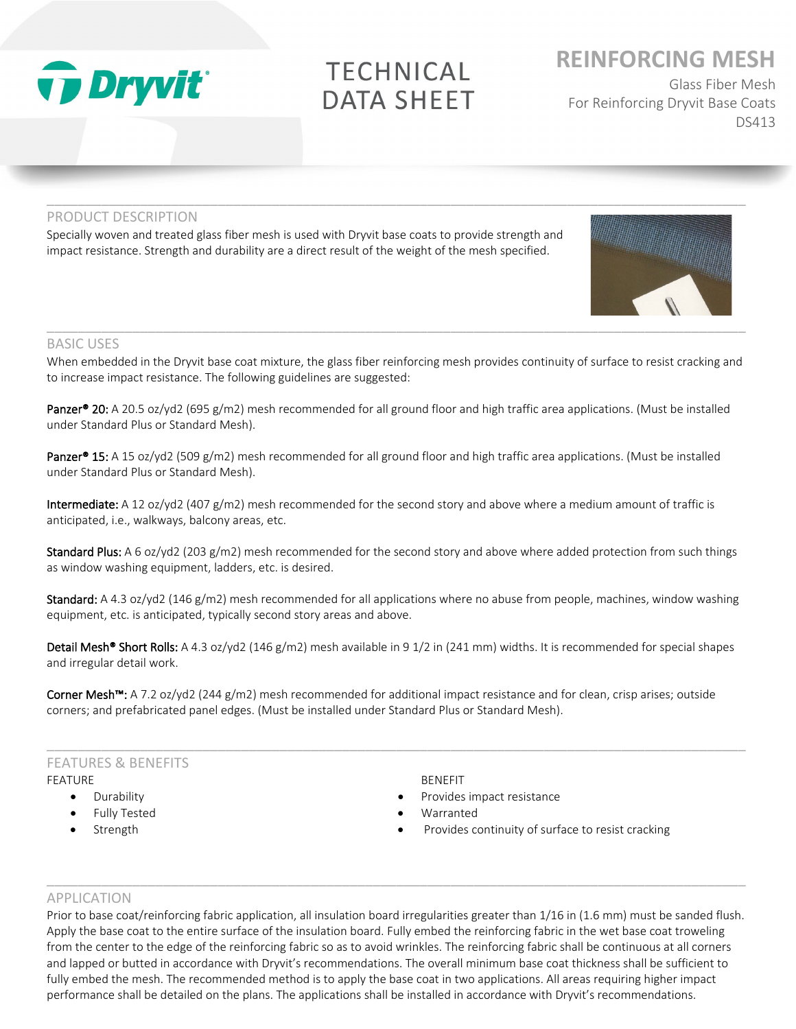

# **TECHNICAL DATA SHEET**

 $\_$  ,  $\_$  ,  $\_$  ,  $\_$  ,  $\_$  ,  $\_$  ,  $\_$  ,  $\_$  ,  $\_$  ,  $\_$  ,  $\_$  ,  $\_$  ,  $\_$  ,  $\_$  ,  $\_$  ,  $\_$  ,  $\_$  ,  $\_$  ,  $\_$  ,  $\_$  ,  $\_$  ,  $\_$  ,  $\_$  ,  $\_$  ,  $\_$  ,  $\_$  ,  $\_$  ,  $\_$  ,  $\_$  ,  $\_$  ,  $\_$  ,  $\_$  ,  $\_$  ,  $\_$  ,  $\_$  ,  $\_$  ,  $\_$  ,

## **REINFORCING MESH**

Glass Fiber Mesh For Reinforcing Dryvit Base Coats DS413

## PRODUCT DESCRIPTION

Specially woven and treated glass fiber mesh is used with Dryvit base coats to provide strength and impact resistance. Strength and durability are a direct result of the weight of the mesh specified.

### BASIC USES

When embedded in the Dryvit base coat mixture, the glass fiber reinforcing mesh provides continuity of surface to resist cracking and to increase impact resistance. The following guidelines are suggested:

**Panzer® 20:** A 20.5 oz/yd2 (695 g/m2) mesh recommended for all ground floor and high traffic area applications. (Must be installed under Standard Plus or Standard Mesh).

Panzer<sup>®</sup> 15: A 15 oz/yd2 (509 g/m2) mesh recommended for all ground floor and high traffic area applications. (Must be installed under Standard Plus or Standard Mesh).

Intermediate: A 12 oz/yd2 (407 g/m2) mesh recommended for the second story and above where a medium amount of traffic is anticipated, i.e., walkways, balcony areas, etc.

Standard Plus: A 6 oz/yd2 (203 g/m2) mesh recommended for the second story and above where added protection from such things as window washing equipment, ladders, etc. is desired.

Standard: A 4.3 oz/yd2 (146 g/m2) mesh recommended for all applications where no abuse from people, machines, window washing equipment, etc. is anticipated, typically second story areas and above.

Detail Mesh<sup>®</sup> Short Rolls: A 4.3 oz/yd2 (146 g/m2) mesh available in 9 1/2 in (241 mm) widths. It is recommended for special shapes and irregular detail work.

 $\_$  ,  $\_$  ,  $\_$  ,  $\_$  ,  $\_$  ,  $\_$  ,  $\_$  ,  $\_$  ,  $\_$  ,  $\_$  ,  $\_$  ,  $\_$  ,  $\_$  ,  $\_$  ,  $\_$  ,  $\_$  ,  $\_$  ,  $\_$  ,  $\_$  ,  $\_$  ,  $\_$  ,  $\_$  ,  $\_$  ,  $\_$  ,  $\_$  ,  $\_$  ,  $\_$  ,  $\_$  ,  $\_$  ,  $\_$  ,  $\_$  ,  $\_$  ,  $\_$  ,  $\_$  ,  $\_$  ,  $\_$  ,  $\_$  ,

Corner Mesh<sup>™</sup>: A 7.2 oz/yd2 (244 g/m2) mesh recommended for additional impact resistance and for clean, crisp arises; outside corners; and prefabricated panel edges. (Must be installed under Standard Plus or Standard Mesh).

### FEATURES & BENEFITS FEATURE

- Durability
- Fully Tested
- **Strength**

BENEFIT

- Provides impact resistance
- **Warranted**
- Provides continuity of surface to resist cracking

#### APPLICATION

Prior to base coat/reinforcing fabric application, all insulation board irregularities greater than 1/16 in (1.6 mm) must be sanded flush. Apply the base coat to the entire surface of the insulation board. Fully embed the reinforcing fabric in the wet base coat troweling from the center to the edge of the reinforcing fabric so as to avoid wrinkles. The reinforcing fabric shall be continuous at all corners and lapped or butted in accordance with Dryvit's recommendations. The overall minimum base coat thickness shall be sufficient to fully embed the mesh. The recommended method is to apply the base coat in two applications. All areas requiring higher impact performance shall be detailed on the plans. The applications shall be installed in accordance with Dryvit's recommendations.

 $\_$  ,  $\_$  ,  $\_$  ,  $\_$  ,  $\_$  ,  $\_$  ,  $\_$  ,  $\_$  ,  $\_$  ,  $\_$  ,  $\_$  ,  $\_$  ,  $\_$  ,  $\_$  ,  $\_$  ,  $\_$  ,  $\_$  ,  $\_$  ,  $\_$  ,  $\_$  ,  $\_$  ,  $\_$  ,  $\_$  ,  $\_$  ,  $\_$  ,  $\_$  ,  $\_$  ,  $\_$  ,  $\_$  ,  $\_$  ,  $\_$  ,  $\_$  ,  $\_$  ,  $\_$  ,  $\_$  ,  $\_$  ,  $\_$  ,